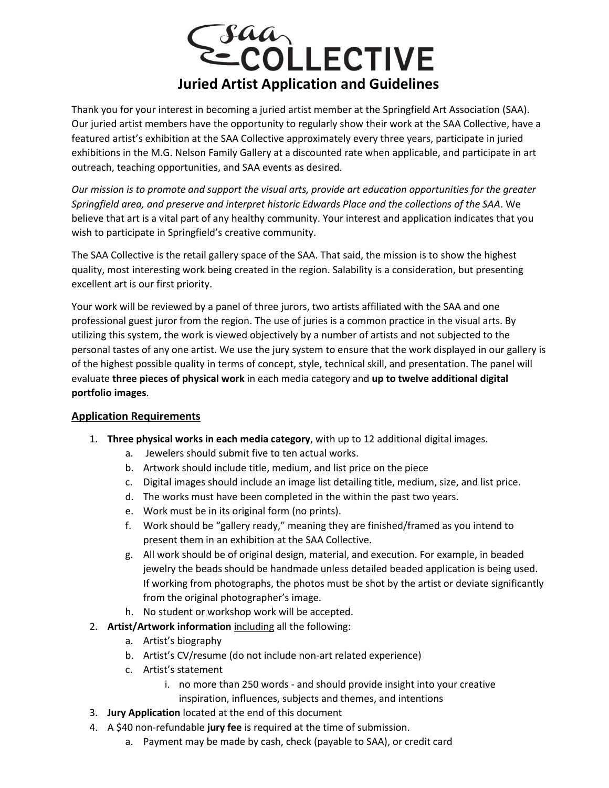

Thank you for your interest in becoming a juried artist member at the Springfield Art Association (SAA). Our juried artist members have the opportunity to regularly show their work at the SAA Collective, have a featured artist's exhibition at the SAA Collective approximately every three years, participate in juried exhibitions in the M.G. Nelson Family Gallery at a discounted rate when applicable, and participate in art outreach, teaching opportunities, and SAA events as desired.

*Our mission is to promote and support the visual arts, provide art education opportunities for the greater Springfield area, and preserve and interpret historic Edwards Place and the collections of the SAA*. We believe that art is a vital part of any healthy community. Your interest and application indicates that you wish to participate in Springfield's creative community.

The SAA Collective is the retail gallery space of the SAA. That said, the mission is to show the highest quality, most interesting work being created in the region. Salability is a consideration, but presenting excellent art is our first priority.

Your work will be reviewed by a panel of three jurors, two artists affiliated with the SAA and one professional guest juror from the region. The use of juries is a common practice in the visual arts. By utilizing this system, the work is viewed objectively by a number of artists and not subjected to the personal tastes of any one artist. We use the jury system to ensure that the work displayed in our gallery is of the highest possible quality in terms of concept, style, technical skill, and presentation. The panel will evaluate **three pieces of physical work** in each media category and **up to twelve additional digital portfolio images**.

## **Application Requirements**

- 1. **Three physical works in each media category**, with up to 12 additional digital images.
	- a. Jewelers should submit five to ten actual works.
	- b. Artwork should include title, medium, and list price on the piece
	- c. Digital images should include an image list detailing title, medium, size, and list price.
	- d. The works must have been completed in the within the past two years.
	- e. Work must be in its original form (no prints).
	- f. Work should be "gallery ready," meaning they are finished/framed as you intend to present them in an exhibition at the SAA Collective.
	- g. All work should be of original design, material, and execution. For example, in beaded jewelry the beads should be handmade unless detailed beaded application is being used. If working from photographs, the photos must be shot by the artist or deviate significantly from the original photographer's image.
	- h. No student or workshop work will be accepted.
- 2. **Artist/Artwork information** including all the following:
	- a. Artist's biography
	- b. Artist's CV/resume (do not include non-art related experience)
	- c. Artist's statement
		- i. no more than 250 words and should provide insight into your creative inspiration, influences, subjects and themes, and intentions
- 3. **Jury Application** located at the end of this document
- 4. A \$40 non-refundable **jury fee** is required at the time of submission.
	- a. Payment may be made by cash, check (payable to SAA), or credit card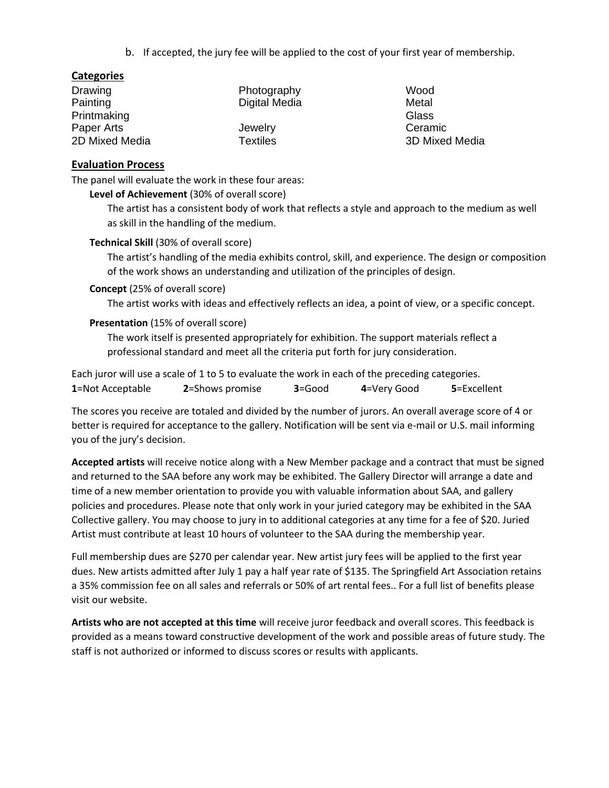b. If accepted, the jury fee will be applied to the cost of your first year of membership.

## **Categories**

| Drawing        | Photography     |
|----------------|-----------------|
| Painting       | Digital Media   |
| Printmaking    |                 |
| Paper Arts     | Jewelry         |
| 2D Mixed Media | <b>Textiles</b> |

Wood Metal **Glass** Ceramic 3D Mixed Media

#### **Evaluation Process**

The panel will evaluate the work in these four areas:

#### **Level of Achievement** (30% of overall score)

The artist has a consistent body of work that reflects a style and approach to the medium as well as skill in the handling of the medium.

## **Technical Skill** (30% of overall score)

The artist's handling of the media exhibits control, skill, and experience. The design or composition of the work shows an understanding and utilization of the principles of design.

#### **Concept** (25% of overall score)

The artist works with ideas and effectively reflects an idea, a point of view, or a specific concept.

## **Presentation** (15% of overall score)

The work itself is presented appropriately for exhibition. The support materials reflect a professional standard and meet all the criteria put forth for jury consideration.

| Each juror will use a scale of 1 to 5 to evaluate the work in each of the preceding categories. |                 |            |             |                     |  |
|-------------------------------------------------------------------------------------------------|-----------------|------------|-------------|---------------------|--|
| 1=Not Acceptable                                                                                | 2=Shows promise | $3 = Good$ | 4=Very Good | <b>5</b> =Excellent |  |

The scores you receive are totaled and divided by the number of jurors. An overall average score of 4 or better is required for acceptance to the gallery. Notification will be sent via e-mail or U.S. mail informing you of the jury's decision.

**Accepted artists** will receive notice along with a New Member package and a contract that must be signed and returned to the SAA before any work may be exhibited. The Gallery Director will arrange a date and time of a new member orientation to provide you with valuable information about SAA, and gallery policies and procedures. Please note that only work in your juried category may be exhibited in the SAA Collective gallery. You may choose to jury in to additional categories at any time for a fee of \$20. Juried Artist must contribute at least 10 hours of volunteer to the SAA during the membership year.

Full membership dues are \$270 per calendar year. New artist jury fees will be applied to the first year dues. New artists admitted after July 1 pay a half year rate of \$135. The Springfield Art Association retains a 35% commission fee on all sales and referrals or 50% of art rental fees.. For a full list of benefits please visit our website.

**Artists who are not accepted at this time** will receive juror feedback and overall scores. This feedback is provided as a means toward constructive development of the work and possible areas of future study. The staff is not authorized or informed to discuss scores or results with applicants.